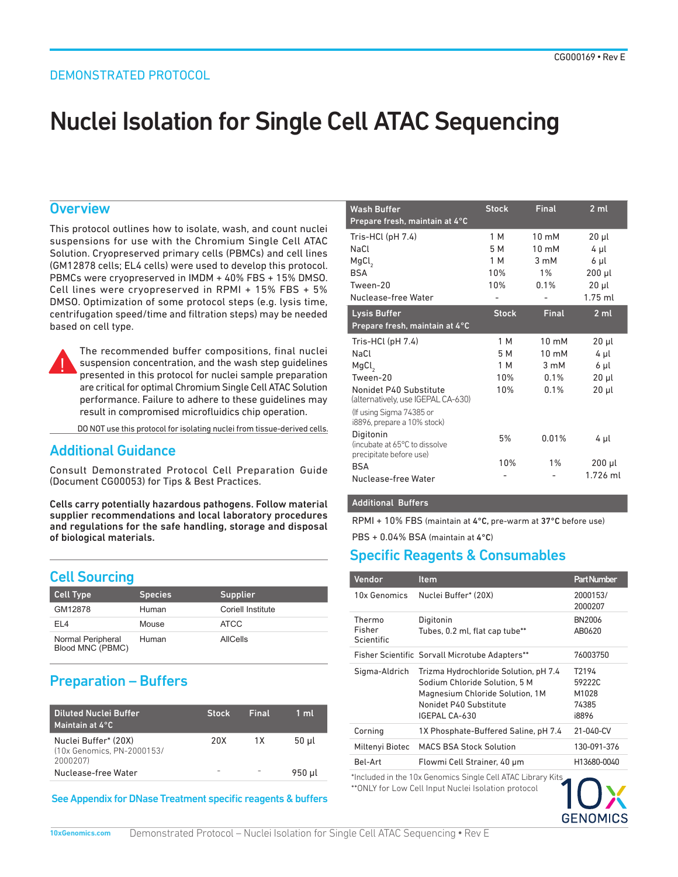# Nuclei Isolation for Single Cell ATAC Sequencing

### **Overview**

This protocol outlines how to isolate, wash, and count nuclei suspensions for use with the Chromium Single Cell ATAC Solution. Cryopreserved primary cells (PBMCs) and cell lines (GM12878 cells; EL4 cells) were used to develop this protocol. PBMCs were cryopreserved in IMDM + 40% FBS + 15% DMSO. Cell lines were cryopreserved in RPMI + 15% FBS + 5% DMSO. Optimization of some protocol steps (e.g. lysis time, centrifugation speed/time and filtration steps) may be needed based on cell type.



The recommended buffer compositions, final nuclei suspension concentration, and the wash step guidelines presented in this protocol for nuclei sample preparation are critical for optimal Chromium Single Cell ATAC Solution performance. Failure to adhere to these guidelines may result in compromised microfluidics chip operation.

DO NOT use this protocol for isolating nuclei from tissue-derived cells.

## Additional Guidance

Consult Demonstrated Protocol Cell Preparation Guide (Document CG00053) for Tips & Best Practices.

Cells carry potentially hazardous pathogens. Follow material supplier recommendations and local laboratory procedures and regulations for the safe handling, storage and disposal of biological materials.

# Cell Sourcing

| Cell Type                             | <b>Species</b> | <b>Supplier</b>   |
|---------------------------------------|----------------|-------------------|
| GM12878                               | Human          | Coriell Institute |
| FI 4                                  | Mouse          | <b>ATCC</b>       |
| Normal Peripheral<br>Blood MNC (PBMC) | Human          | AllCells          |

# Preparation – Buffers

| <b>Diluted Nuclei Buffer</b><br>Maintain at $4^{\circ}$ C      | <b>Stock</b> | <b>Final</b> | 1 ml   |
|----------------------------------------------------------------|--------------|--------------|--------|
| Nuclei Buffer* (20X)<br>(10x Genomics, PN-2000153/<br>2000207) | 20X          | 1 X          | 50 ul  |
| Nuclease-free Water                                            |              |              | 950 ul |

#### See Appendix for DNase Treatment specific reagents & buffers

| Wash Buffer                                                  | <b>Stock</b> | <b>Final</b>    | $2 \mathrm{ml}$ |
|--------------------------------------------------------------|--------------|-----------------|-----------------|
| Prepare fresh, maintain at 4°C                               |              |                 |                 |
| Tris-HCl $(pH 7.4)$                                          | 1 M          | 10 mM           | $20$ $\mu$      |
| NaCl                                                         | 5 M          | $10 \text{ mM}$ | 4 µl            |
| MgCl <sub>2</sub>                                            | 1 M          | $3 \text{ mM}$  | 6 µl            |
| <b>BSA</b>                                                   | 10%          | 1%              | $200$ µl        |
| Tween-20                                                     | 10%          | 0.1%            | $20$ $\mu$      |
| Nuclease-free Water                                          |              |                 | $1.75$ ml       |
| <b>Lysis Buffer</b>                                          | <b>Stock</b> | <b>Final</b>    | 2 <sub>m</sub>  |
| Prepare fresh, maintain at 4°C                               |              |                 |                 |
| Tris-HCl $(pH 7.4)$                                          | 1 M          | 10 mM           | $20 \mu l$      |
| NaCl                                                         | 5 M          | $10 \text{ mM}$ | 4 µl            |
| MgCl <sub>2</sub>                                            | 1 M          | 3 mM            | $6$ µl          |
| Tween-20                                                     | 10%          | 0.1%            | $20 \mu l$      |
| Nonidet P40 Substitute<br>(alternatively, use IGEPAL CA-630) | 10%          | 0.1%            | $20 \mu l$      |
| (If using Sigma 74385 or<br>i8896, prepare a 10% stock)      |              |                 |                 |
| Digitonin<br>(incubate at 65°C to dissolve                   | 5%           | 0.01%           | 4 µl            |
| precipitate before use)                                      | 10%          | $1\%$           | $200$ µl        |
| <b>BSA</b><br>Nuclease-free Water                            |              |                 | 1.726 ml        |
|                                                              |              |                 |                 |

#### Additional Buffers

RPMI + 10% FBS (maintain at 4°C, pre-warm at 37°C before use)

PBS + 0.04% BSA (maintain at 4°C)

# Specific Reagents & Consumables

| Vendor                                                      | <b>Item</b>                                                                                                                                          | <b>Part Number</b>                         |  |
|-------------------------------------------------------------|------------------------------------------------------------------------------------------------------------------------------------------------------|--------------------------------------------|--|
| 10x Genomics                                                | Nuclei Buffer* (20X)                                                                                                                                 | 2000153/<br>2000207                        |  |
| Thermo<br>Fisher<br><b>Scientific</b>                       | Digitonin<br>Tubes, 0.2 ml, flat cap tube**                                                                                                          | BN2006<br>AB0620                           |  |
|                                                             | Fisher Scientific Sorvall Microtube Adapters**                                                                                                       | 76003750                                   |  |
| Sigma-Aldrich                                               | Trizma Hydrochloride Solution, pH 7.4<br>Sodium Chloride Solution. 5 M<br>Magnesium Chloride Solution, 1M<br>Nonidet P40 Substitute<br>IGEPAL CA-630 | T2194<br>59222C<br>M1028<br>74385<br>i8896 |  |
| Corning                                                     | 1X Phosphate-Buffered Saline, pH 7.4                                                                                                                 | 21-040-CV                                  |  |
| Miltenyi Biotec                                             | <b>MACS BSA Stock Solution</b>                                                                                                                       | 130-091-376                                |  |
| Bel-Art                                                     | Flowmi Cell Strainer, 40 um                                                                                                                          | H13680-0040                                |  |
| *Included in the 10x Genomics Single Cell ATAC Library Kits |                                                                                                                                                      |                                            |  |

\*\*ONLY for Low Cell Input Nuclei Isolation protocol

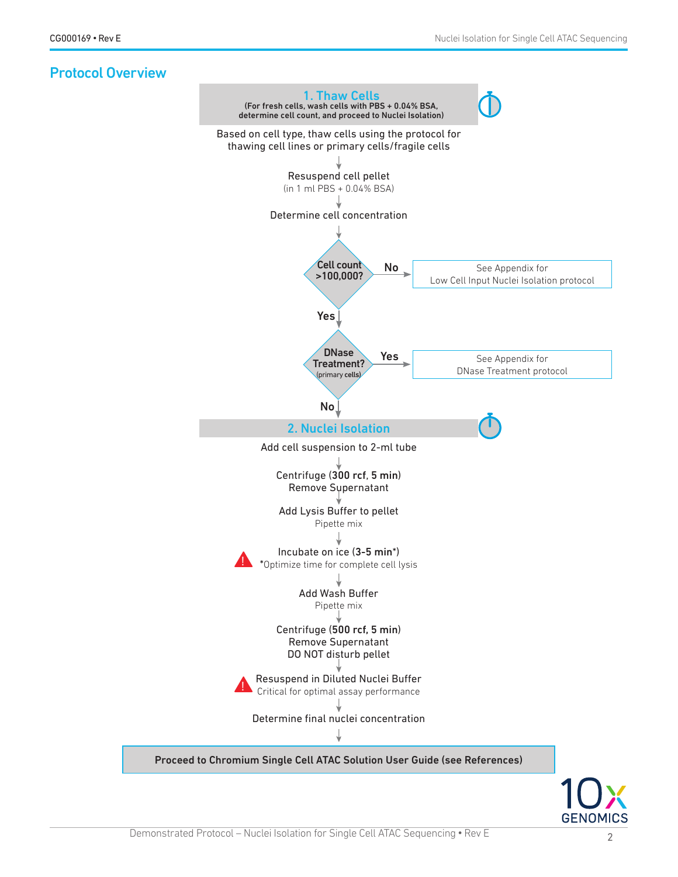# Protocol Overview



**GENOMICS**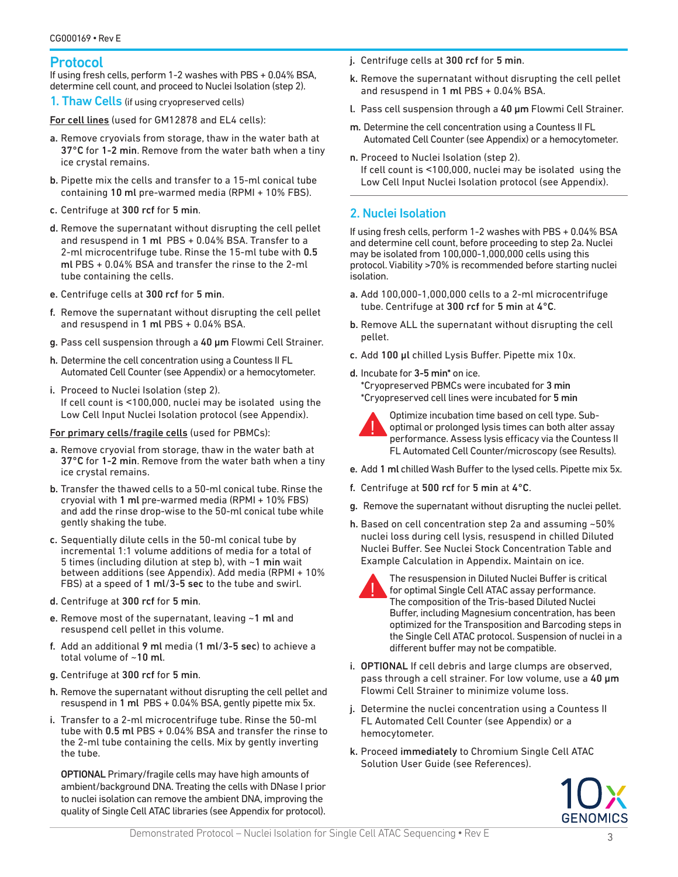## Protocol

If using fresh cells, perform 1-2 washes with PBS + 0.04% BSA, determine cell count, and proceed to Nuclei Isolation (step 2).

**1. Thaw Cells** (if using cryopreserved cells)

For cell lines (used for GM12878 and EL4 cells):

- a. Remove cryovials from storage, thaw in the water bath at 37°C for 1-2 min. Remove from the water bath when a tiny ice crystal remains.
- b. Pipette mix the cells and transfer to a 15-ml conical tube containing 10 ml pre-warmed media (RPMI + 10% FBS).
- c. Centrifuge at 300 rcf for 5 min.
- d. Remove the supernatant without disrupting the cell pellet and resuspend in 1 ml PBS + 0.04% BSA. Transfer to a 2-ml microcentrifuge tube. Rinse the 15-ml tube with 0.5 ml PBS + 0.04% BSA and transfer the rinse to the 2-ml tube containing the cells.
- e. Centrifuge cells at 300 rcf for 5 min.
- f. Remove the supernatant without disrupting the cell pellet and resuspend in 1 ml PBS + 0.04% BSA.
- g. Pass cell suspension through a 40 µm Flowmi Cell Strainer.
- h. Determine the cell concentration using a Countess II FL Automated Cell Counter (see Appendix) or a hemocytometer.
- i. Proceed to Nuclei Isolation (step 2). If cell count is ˂100,000, nuclei may be isolated using the Low Cell Input Nuclei Isolation protocol (see Appendix).

### For primary cells/fragile cells (used for PBMCs):

- a. Remove cryovial from storage, thaw in the water bath at 37°C for 1-2 min. Remove from the water bath when a tiny ice crystal remains.
- b. Transfer the thawed cells to a 50-ml conical tube. Rinse the cryovial with 1 ml pre-warmed media (RPMI + 10% FBS) and add the rinse drop-wise to the 50-ml conical tube while gently shaking the tube.
- c. Sequentially dilute cells in the 50-ml conical tube by incremental 1:1 volume additions of media for a total of 5 times (including dilution at step b), with ~1 min wait between additions (see Appendix). Add media (RPMI + 10% FBS) at a speed of 1 ml/3-5 sec to the tube and swirl.
- d. Centrifuge at 300 rcf for 5 min.
- e. Remove most of the supernatant, leaving ~1 ml and resuspend cell pellet in this volume.
- f. Add an additional 9 ml media (1 ml/3-5 sec) to achieve a total volume of ~10 ml.
- g. Centrifuge at 300 rcf for 5 min.
- h. Remove the supernatant without disrupting the cell pellet and resuspend in 1 ml PBS + 0.04% BSA, gently pipette mix 5x.
- i. Transfer to a 2-ml microcentrifuge tube. Rinse the 50-ml tube with 0.5 ml PBS + 0.04% BSA and transfer the rinse to the 2-ml tube containing the cells. Mix by gently inverting the tube.

OPTIONAL Primary/fragile cells may have high amounts of ambient/background DNA. Treating the cells with DNase I prior to nuclei isolation can remove the ambient DNA, improving the quality of Single Cell ATAC libraries (see Appendix for protocol).

- j. Centrifuge cells at 300 rcf for 5 min.
- k. Remove the supernatant without disrupting the cell pellet and resuspend in 1 ml PBS + 0.04% BSA.
- l. Pass cell suspension through a 40 µm Flowmi Cell Strainer.
- m. Determine the cell concentration using a Countess II FL Automated Cell Counter (see Appendix) or a hemocytometer.
- n. Proceed to Nuclei Isolation (step 2). If cell count is ˂100,000, nuclei may be isolated using the Low Cell Input Nuclei Isolation protocol (see Appendix).

### 2. Nuclei Isolation

If using fresh cells, perform 1-2 washes with PBS + 0.04% BSA and determine cell count, before proceeding to step 2a. Nuclei may be isolated from 100,000-1,000,000 cells using this protocol. Viability >70% is recommended before starting nuclei isolation.

- a. Add 100,000-1,000,000 cells to a 2-ml microcentrifuge tube. Centrifuge at 300 rcf for 5 min at 4°C.
- b. Remove ALL the supernatant without disrupting the cell pellet.
- c. Add 100 µl chilled Lysis Buffer. Pipette mix 10x.
- d. Incubate for 3-5 min\* on ice.

\*Cryopreserved PBMCs were incubated for 3 min \*Cryopreserved cell lines were incubated for 5 min



Optimize incubation time based on cell type. Suboptimal or prolonged lysis times can both alter assay performance. Assess lysis efficacy via the Countess II FL Automated Cell Counter/microscopy (see Results).

- e. Add 1 ml chilled Wash Buffer to the lysed cells. Pipette mix 5x.
- f. Centrifuge at 500 rcf for 5 min at 4°C.
- g. Remove the supernatant without disrupting the nuclei pellet.
- h. Based on cell concentration step 2a and assuming ~50% nuclei loss during cell lysis, resuspend in chilled Diluted Nuclei Buffer. See Nuclei Stock Concentration Table and Example Calculation in Appendix. Maintain on ice.



The resuspension in Diluted Nuclei Buffer is critical for optimal Single Cell ATAC assay performance. The composition of the Tris-based Diluted Nuclei Buffer, including Magnesium concentration, has been optimized for the Transposition and Barcoding steps in the Single Cell ATAC protocol. Suspension of nuclei in a different buffer may not be compatible.

- i. OPTIONAL If cell debris and large clumps are observed, pass through a cell strainer. For low volume, use a 40 µm Flowmi Cell Strainer to minimize volume loss.
- j. Determine the nuclei concentration using a Countess II FL Automated Cell Counter (see Appendix) or a hemocytometer.
- k. Proceed immediately to Chromium Single Cell ATAC Solution User Guide (see References).

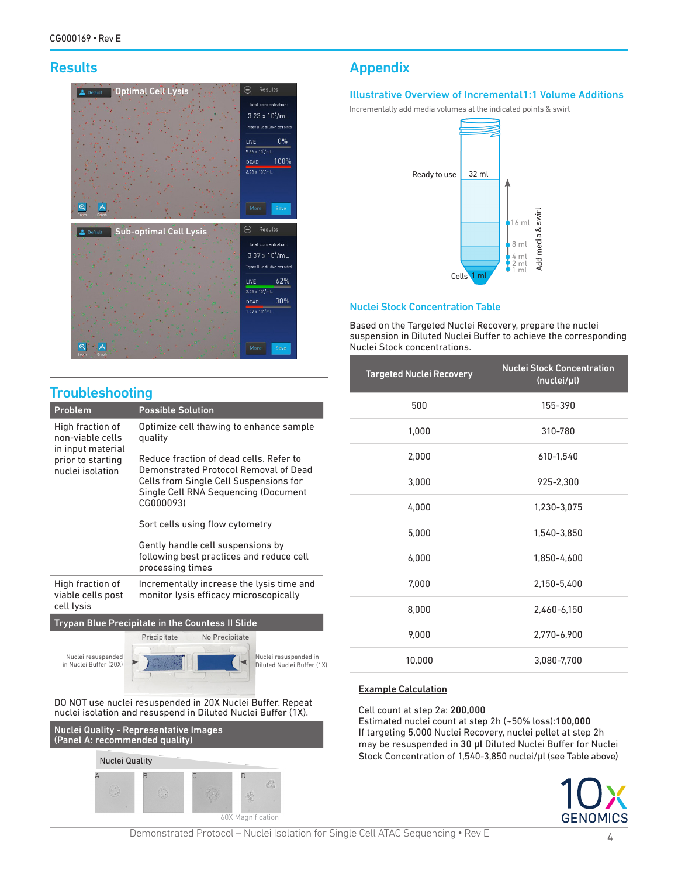# **Results**



# **Troubleshooting**

| Problem                                                   | <b>Possible Solution</b>                                                                                                                                                        |  |
|-----------------------------------------------------------|---------------------------------------------------------------------------------------------------------------------------------------------------------------------------------|--|
| High fraction of<br>non-viable cells<br>in input material | Optimize cell thawing to enhance sample<br>quality                                                                                                                              |  |
| prior to starting<br>nuclei isolation                     | Reduce fraction of dead cells. Refer to<br>Demonstrated Protocol Removal of Dead<br>Cells from Single Cell Suspensions for<br>Single Cell RNA Sequencing (Document<br>CG000093) |  |
|                                                           | Sort cells using flow cytometry                                                                                                                                                 |  |
|                                                           | Gently handle cell suspensions by<br>following best practices and reduce cell<br>processing times                                                                               |  |
| High fraction of<br>viable cells post<br>cell lysis       | Incrementally increase the lysis time and<br>monitor lysis efficacy microscopically                                                                                             |  |
|                                                           | Trypan Blue Precipitate in the Countess II Slide                                                                                                                                |  |
|                                                           | Precipitate<br>No Precipitate                                                                                                                                                   |  |
| Nuclei resuspended<br>in Nuclei Buffer (20X)              | Nuclei resuspended in<br>Diluted Nuclei Buffer (1X)                                                                                                                             |  |
|                                                           | DO NOT use nuclei resuspended in 20X Nuclei Buffer. Repeat<br>nuclei isolation and resuspend in Diluted Nuclei Buffer (1X).                                                     |  |



# Appendix

### Illustrative Overview of Incremental1:1 Volume Additions

Incrementally add media volumes at the indicated points & swirl



### Nuclei Stock Concentration Table

Based on the Targeted Nuclei Recovery, prepare the nuclei suspension in Diluted Nuclei Buffer to achieve the corresponding Nuclei Stock concentrations.

| <b>Targeted Nuclei Recovery</b> | <b>Nuclei Stock Concentration</b><br>(nuclei/µl) |
|---------------------------------|--------------------------------------------------|
| 500                             | 155-390                                          |
| 1,000                           | 310-780                                          |
| 2,000                           | 610-1,540                                        |
| 3,000                           | 925-2,300                                        |
| 4,000                           | 1,230-3,075                                      |
| 5,000                           | 1,540-3,850                                      |
| 6,000                           | 1,850-4,600                                      |
| 7,000                           | 2,150-5,400                                      |
| 8,000                           | 2,460-6,150                                      |
| 9,000                           | 2,770-6,900                                      |
| 10,000                          | 3,080-7,700                                      |

### Example Calculation

Cell count at step 2a: 200,000

Estimated nuclei count at step 2h (~50% loss):100,000 If targeting 5,000 Nuclei Recovery, nuclei pellet at step 2h may be resuspended in 30 µl Diluted Nuclei Buffer for Nuclei Stock Concentration of 1,540-3,850 nuclei/µl (see Table above)

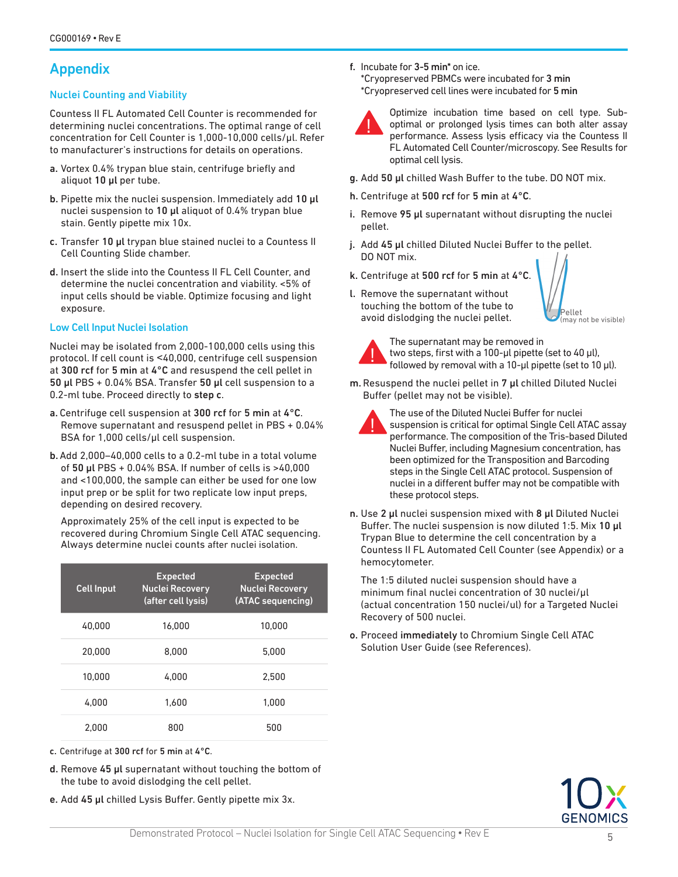# Appendix

### Nuclei Counting and Viability

Countess II FL Automated Cell Counter is recommended for determining nuclei concentrations. The optimal range of cell concentration for Cell Counter is 1,000-10,000 cells/µl. Refer to manufacturer's instructions for details on operations.

- a. Vortex 0.4% trypan blue stain, centrifuge briefly and aliquot 10 µl per tube.
- b. Pipette mix the nuclei suspension. Immediately add 10 µl nuclei suspension to 10 µl aliquot of 0.4% trypan blue stain. Gently pipette mix 10x.
- c. Transfer 10 µl trypan blue stained nuclei to a Countess II Cell Counting Slide chamber.
- d. Insert the slide into the Countess II FL Cell Counter, and determine the nuclei concentration and viability. <5% of input cells should be viable. Optimize focusing and light exposure.

#### Low Cell Input Nuclei Isolation

Nuclei may be isolated from 2,000-100,000 cells using this protocol. If cell count is ˂40,000, centrifuge cell suspension at 300 rcf for 5 min at 4°C and resuspend the cell pellet in 50 µl PBS + 0.04% BSA. Transfer 50 µl cell suspension to a 0.2-ml tube. Proceed directly to step c.

- a. Centrifuge cell suspension at 300 rcf for 5 min at 4°C. Remove supernatant and resuspend pellet in PBS + 0.04% BSA for 1,000 cells/µl cell suspension.
- b.Add 2,000–40,000 cells to a 0.2-ml tube in a total volume of 50 µl PBS + 0.04% BSA. If number of cells is >40,000 and <100,000, the sample can either be used for one low input prep or be split for two replicate low input preps, depending on desired recovery.

Approximately 25% of the cell input is expected to be recovered during Chromium Single Cell ATAC sequencing. Always determine nuclei counts after nuclei isolation.

| <b>Cell Input</b> | <b>Expected</b><br><b>Nuclei Recovery</b><br>(after cell lysis) | <b>Expected</b><br><b>Nuclei Recovery</b><br>(ATAC sequencing) |
|-------------------|-----------------------------------------------------------------|----------------------------------------------------------------|
| 40.000            | 16.000                                                          | 10.000                                                         |
| 20,000            | 8.000                                                           | 5.000                                                          |
| 10.000            | 4.000                                                           | 2.500                                                          |
| 4.000             | 1.600                                                           | 1.000                                                          |
| 2.000             | 800                                                             | 500                                                            |

c. Centrifuge at 300 rcf for 5 min at 4°C.

- d. Remove 45 µl supernatant without touching the bottom of the tube to avoid dislodging the cell pellet.
- e. Add 45 µl chilled Lysis Buffer. Gently pipette mix 3x.

f. Incubate for 3-5 min\* on ice.

\*Cryopreserved PBMCs were incubated for 3 min \*Cryopreserved cell lines were incubated for 5 min



Optimize incubation time based on cell type. Suboptimal or prolonged lysis times can both alter assay performance. Assess lysis efficacy via the Countess II FL Automated Cell Counter/microscopy. See Results for optimal cell lysis.

- g. Add 50 µl chilled Wash Buffer to the tube. DO NOT mix.
- h. Centrifuge at 500 rcf for 5 min at 4°C.
- i. Remove 95 µl supernatant without disrupting the nuclei pellet.
- j. Add 45 µl chilled Diluted Nuclei Buffer to the pellet. DO NOT mix.
- k. Centrifuge at 500 rcf for 5 min at 4°C.
- l. Remove the supernatant without touching the bottom of the tube to avoid dislodging the nuclei pellet.



The supernatant may be removed in two steps, first with a 100-ul pipette (set to 40 ul), followed by removal with a 10-µl pipette (set to 10 µl).

'ellet (may not be visible)

m. Resuspend the nuclei pellet in 7 µl chilled Diluted Nuclei Buffer (pellet may not be visible).



The use of the Diluted Nuclei Buffer for nuclei suspension is critical for optimal Single Cell ATAC assay performance. The composition of the Tris-based Diluted Nuclei Buffer, including Magnesium concentration, has been optimized for the Transposition and Barcoding steps in the Single Cell ATAC protocol. Suspension of nuclei in a different buffer may not be compatible with these protocol steps.

n. Use 2 µl nuclei suspension mixed with 8 µl Diluted Nuclei Buffer. The nuclei suspension is now diluted 1:5. Mix 10  $\mu$ l Trypan Blue to determine the cell concentration by a Countess II FL Automated Cell Counter (see Appendix) or a hemocytometer.

The 1:5 diluted nuclei suspension should have a minimum final nuclei concentration of 30 nuclei/µl (actual concentration 150 nuclei/ul) for a Targeted Nuclei Recovery of 500 nuclei.

o. Proceed immediately to Chromium Single Cell ATAC Solution User Guide (see References).